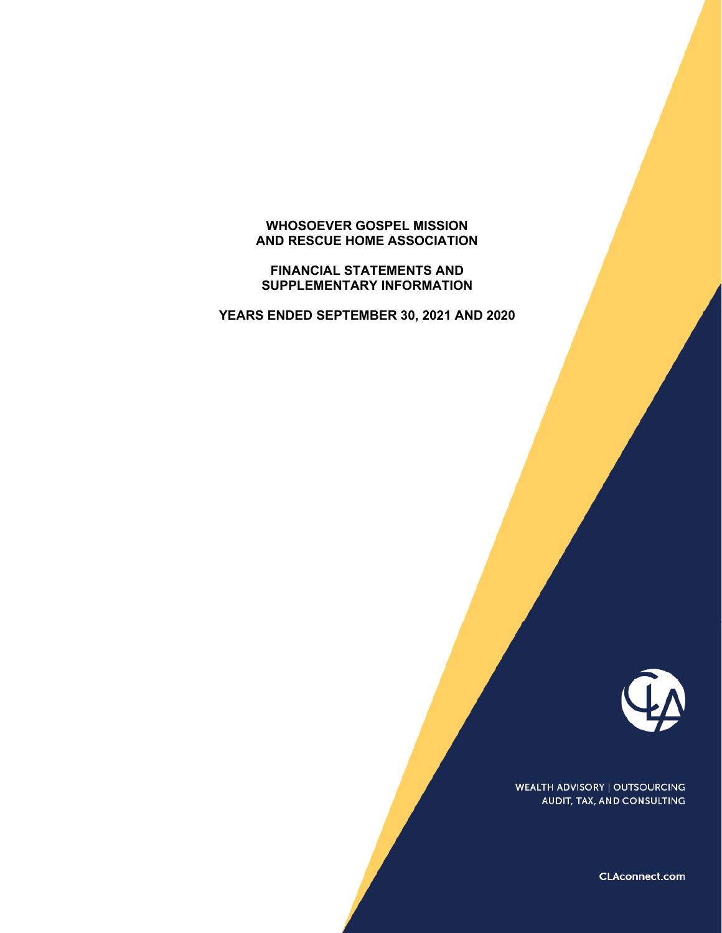## **WHOSOEVER GOSPEL MISSION AND RESCUE HOME ASSOCIATION**

#### **FINANCIAL STATEMENTS AND SUPPLEMENTARY INFORMATION**

**YEARS ENDED SEPTEMBER 30, 2021 AND 2020**



**WEALTH ADVISORY | OUTSOURCING AUDIT, TAX, AND CONSULTING** 

CLAconnect.com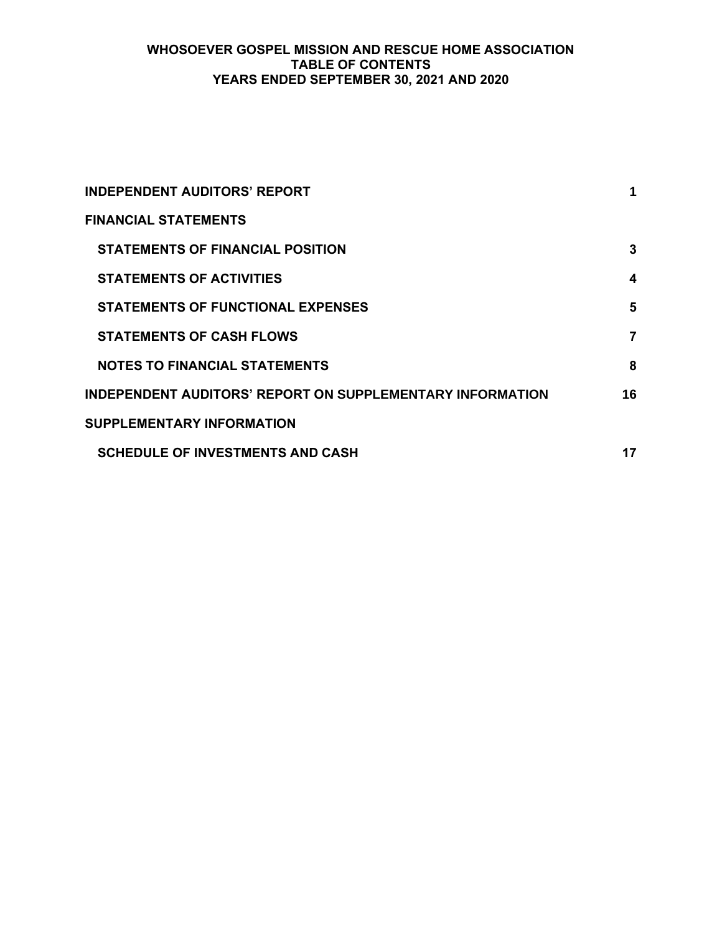# **WHOSOEVER GOSPEL MISSION AND RESCUE HOME ASSOCIATION TABLE OF CONTENTS YEARS ENDED SEPTEMBER 30, 2021 AND 2020**

| <b>INDEPENDENT AUDITORS' REPORT</b>                              |    |
|------------------------------------------------------------------|----|
| <b>FINANCIAL STATEMENTS</b>                                      |    |
| <b>STATEMENTS OF FINANCIAL POSITION</b>                          | 3  |
| <b>STATEMENTS OF ACTIVITIES</b>                                  | 4  |
| <b>STATEMENTS OF FUNCTIONAL EXPENSES</b>                         | 5  |
| <b>STATEMENTS OF CASH FLOWS</b>                                  | 7  |
| <b>NOTES TO FINANCIAL STATEMENTS</b>                             | 8  |
| <b>INDEPENDENT AUDITORS' REPORT ON SUPPLEMENTARY INFORMATION</b> | 16 |
| SUPPLEMENTARY INFORMATION                                        |    |
| <b>SCHEDULE OF INVESTMENTS AND CASH</b>                          | 17 |
|                                                                  |    |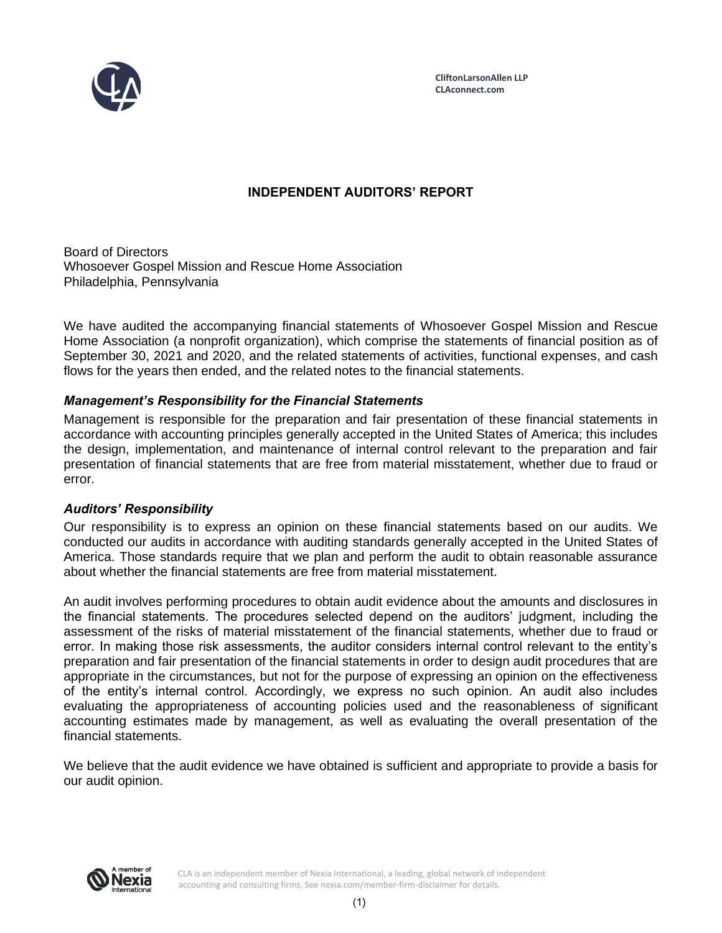

# **INDEPENDENT AUDITORS' REPORT**

Board of Directors Whosoever Gospel Mission and Rescue Home Association Philadelphia, Pennsylvania

We have audited the accompanying financial statements of Whosoever Gospel Mission and Rescue Home Association (a nonprofit organization), which comprise the statements of financial position as of September 30, 2021 and 2020, and the related statements of activities, functional expenses, and cash flows for the years then ended, and the related notes to the financial statements.

# *Management's Responsibility for the Financial Statements*

Management is responsible for the preparation and fair presentation of these financial statements in accordance with accounting principles generally accepted in the United States of America; this includes the design, implementation, and maintenance of internal control relevant to the preparation and fair presentation of financial statements that are free from material misstatement, whether due to fraud or error.

# *Auditors' Responsibility*

Our responsibility is to express an opinion on these financial statements based on our audits. We conducted our audits in accordance with auditing standards generally accepted in the United States of America. Those standards require that we plan and perform the audit to obtain reasonable assurance about whether the financial statements are free from material misstatement.

An audit involves performing procedures to obtain audit evidence about the amounts and disclosures in the financial statements. The procedures selected depend on the auditors' judgment, including the assessment of the risks of material misstatement of the financial statements, whether due to fraud or error. In making those risk assessments, the auditor considers internal control relevant to the entity's preparation and fair presentation of the financial statements in order to design audit procedures that are appropriate in the circumstances, but not for the purpose of expressing an opinion on the effectiveness of the entity's internal control. Accordingly, we express no such opinion. An audit also includes evaluating the appropriateness of accounting policies used and the reasonableness of significant accounting estimates made by management, as well as evaluating the overall presentation of the financial statements.

We believe that the audit evidence we have obtained is sufficient and appropriate to provide a basis for our audit opinion.

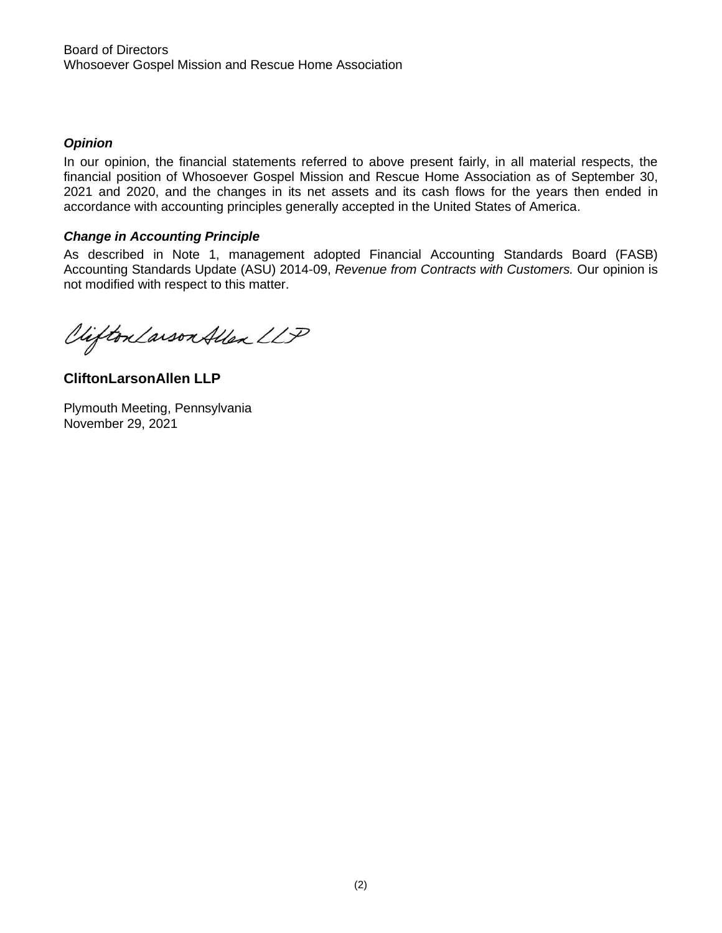# *Opinion*

In our opinion, the financial statements referred to above present fairly, in all material respects, the financial position of Whosoever Gospel Mission and Rescue Home Association as of September 30, 2021 and 2020, and the changes in its net assets and its cash flows for the years then ended in accordance with accounting principles generally accepted in the United States of America.

# *Change in Accounting Principle*

As described in Note 1, management adopted Financial Accounting Standards Board (FASB) Accounting Standards Update (ASU) 2014-09, *Revenue from Contracts with Customers.* Our opinion is not modified with respect to this matter.

Clifton Larson Allen LLP

**CliftonLarsonAllen LLP**

Plymouth Meeting, Pennsylvania November 29, 2021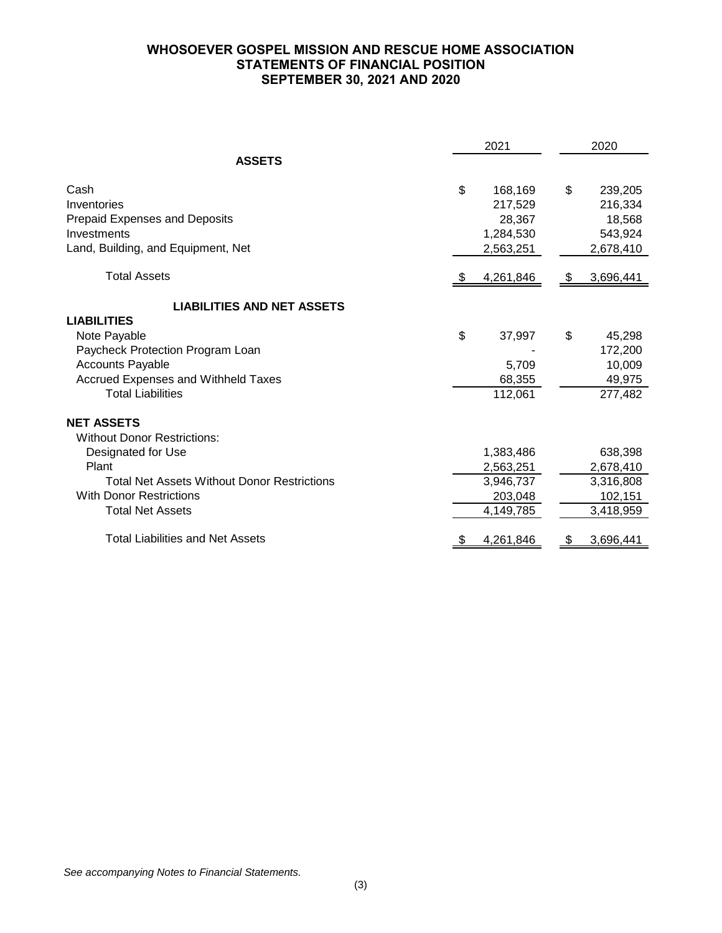# **WHOSOEVER GOSPEL MISSION AND RESCUE HOME ASSOCIATION STATEMENTS OF FINANCIAL POSITION SEPTEMBER 30, 2021 AND 2020**

|                                                    | 2021 |           |    | 2020      |
|----------------------------------------------------|------|-----------|----|-----------|
| <b>ASSETS</b>                                      |      |           |    |           |
| Cash                                               | \$   | 168,169   | \$ | 239,205   |
| Inventories                                        |      | 217,529   |    | 216,334   |
| <b>Prepaid Expenses and Deposits</b>               |      | 28,367    |    | 18,568    |
| Investments                                        |      | 1,284,530 |    | 543,924   |
| Land, Building, and Equipment, Net                 |      | 2,563,251 |    | 2,678,410 |
| <b>Total Assets</b>                                |      | 4,261,846 | \$ | 3,696,441 |
| <b>LIABILITIES AND NET ASSETS</b>                  |      |           |    |           |
| <b>LIABILITIES</b>                                 |      |           |    |           |
| Note Payable                                       | \$   | 37,997    | \$ | 45,298    |
| Paycheck Protection Program Loan                   |      |           |    | 172,200   |
| <b>Accounts Payable</b>                            |      | 5,709     |    | 10,009    |
| Accrued Expenses and Withheld Taxes                |      | 68,355    |    | 49,975    |
| <b>Total Liabilities</b>                           |      | 112,061   |    | 277,482   |
| <b>NET ASSETS</b>                                  |      |           |    |           |
| <b>Without Donor Restrictions:</b>                 |      |           |    |           |
| Designated for Use                                 |      | 1,383,486 |    | 638,398   |
| Plant                                              |      | 2,563,251 |    | 2,678,410 |
| <b>Total Net Assets Without Donor Restrictions</b> |      | 3,946,737 |    | 3,316,808 |
| <b>With Donor Restrictions</b>                     |      | 203,048   |    | 102,151   |
| <b>Total Net Assets</b>                            |      | 4,149,785 |    | 3,418,959 |
| <b>Total Liabilities and Net Assets</b>            |      | 4,261,846 | Ъ  | 3,696,441 |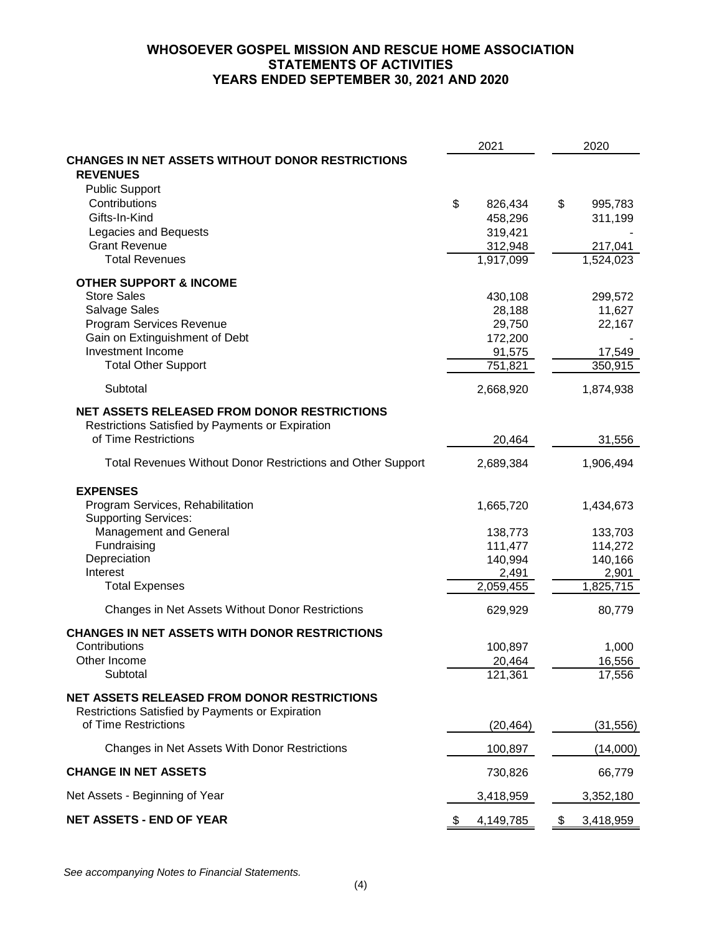# **WHOSOEVER GOSPEL MISSION AND RESCUE HOME ASSOCIATION STATEMENTS OF ACTIVITIES YEARS ENDED SEPTEMBER 30, 2021 AND 2020**

|                                                             |      | 2021               |               | 2020               |
|-------------------------------------------------------------|------|--------------------|---------------|--------------------|
| <b>CHANGES IN NET ASSETS WITHOUT DONOR RESTRICTIONS</b>     |      |                    |               |                    |
| <b>REVENUES</b>                                             |      |                    |               |                    |
| <b>Public Support</b><br>Contributions                      |      |                    |               |                    |
| Gifts-In-Kind                                               | \$   | 826,434<br>458,296 | \$            | 995,783            |
| Legacies and Bequests                                       |      | 319,421            |               | 311,199            |
| <b>Grant Revenue</b>                                        |      | 312,948            |               | 217,041            |
| <b>Total Revenues</b>                                       |      | 1,917,099          |               | 1,524,023          |
| <b>OTHER SUPPORT &amp; INCOME</b>                           |      |                    |               |                    |
| <b>Store Sales</b>                                          |      | 430,108            |               | 299,572            |
| Salvage Sales                                               |      | 28,188             |               | 11,627             |
| Program Services Revenue                                    |      | 29,750             |               | 22,167             |
| Gain on Extinguishment of Debt                              |      | 172,200            |               |                    |
| Investment Income                                           |      | 91,575             |               | 17,549             |
| <b>Total Other Support</b>                                  |      | 751,821            |               | 350,915            |
| Subtotal                                                    |      | 2,668,920          |               | 1,874,938          |
| <b>NET ASSETS RELEASED FROM DONOR RESTRICTIONS</b>          |      |                    |               |                    |
| Restrictions Satisfied by Payments or Expiration            |      |                    |               |                    |
| of Time Restrictions                                        |      | 20,464             |               | 31,556             |
| Total Revenues Without Donor Restrictions and Other Support |      | 2,689,384          |               | 1,906,494          |
| <b>EXPENSES</b>                                             |      |                    |               |                    |
| Program Services, Rehabilitation                            |      | 1,665,720          |               | 1,434,673          |
| <b>Supporting Services:</b>                                 |      |                    |               |                    |
| Management and General                                      |      | 138,773            |               | 133,703            |
| Fundraising                                                 |      | 111,477            |               | 114,272            |
| Depreciation<br>Interest                                    |      | 140,994            |               | 140,166            |
| <b>Total Expenses</b>                                       |      | 2,491<br>2,059,455 |               | 2,901<br>1,825,715 |
|                                                             |      |                    |               |                    |
| Changes in Net Assets Without Donor Restrictions            |      | 629,929            |               | 80,779             |
| <b>CHANGES IN NET ASSETS WITH DONOR RESTRICTIONS</b>        |      |                    |               |                    |
| Contributions                                               |      | 100,897            |               | 1,000              |
| Other Income                                                |      | 20,464             |               | 16,556             |
| Subtotal                                                    |      | 121,361            |               | 17,556             |
| <b>NET ASSETS RELEASED FROM DONOR RESTRICTIONS</b>          |      |                    |               |                    |
| Restrictions Satisfied by Payments or Expiration            |      |                    |               |                    |
| of Time Restrictions                                        |      | (20, 464)          |               | (31, 556)          |
| Changes in Net Assets With Donor Restrictions               |      | 100,897            |               | (14,000)           |
| <b>CHANGE IN NET ASSETS</b>                                 |      | 730,826            |               | 66,779             |
| Net Assets - Beginning of Year                              |      | 3,418,959          |               | 3,352,180          |
| <b>NET ASSETS - END OF YEAR</b>                             | - \$ | 4,149,785          | $\mathcal{S}$ | 3,418,959          |

*See accompanying Notes to Financial Statements.*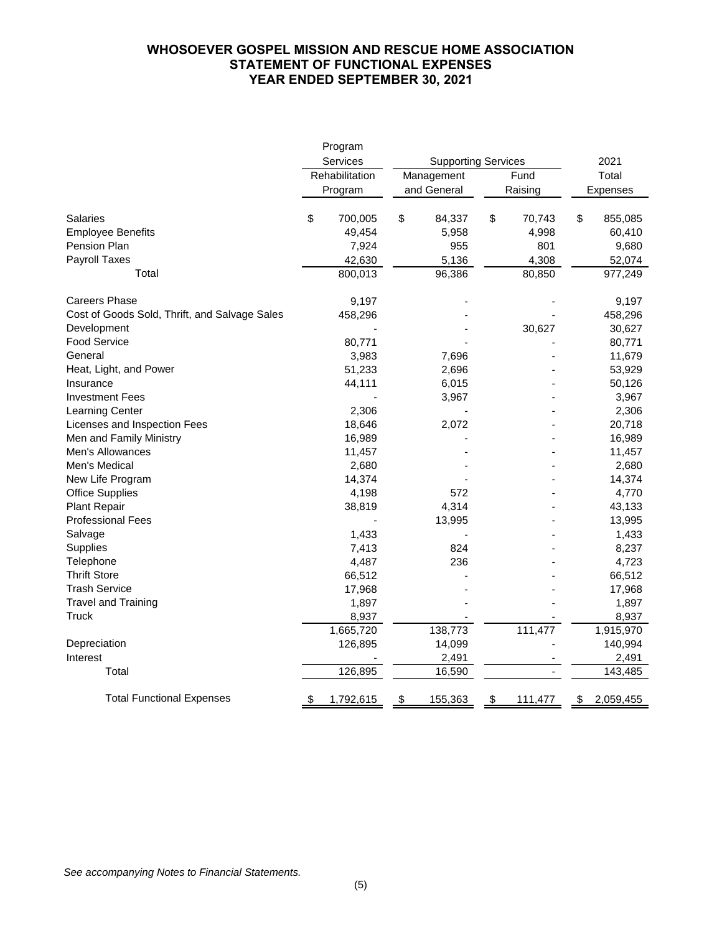## **WHOSOEVER GOSPEL MISSION AND RESCUE HOME ASSOCIATION STATEMENT OF FUNCTIONAL EXPENSES YEAR ENDED SEPTEMBER 30, 2021**

|                                               | Program                    |           |            |                            |      |         |          |           |
|-----------------------------------------------|----------------------------|-----------|------------|----------------------------|------|---------|----------|-----------|
|                                               | Services<br>Rehabilitation |           |            | <b>Supporting Services</b> |      |         |          | 2021      |
|                                               |                            |           | Management |                            | Fund |         | Total    |           |
|                                               |                            | Program   |            | and General                |      | Raising | Expenses |           |
| <b>Salaries</b>                               | \$                         | 700,005   | \$         | 84,337                     | \$   | 70,743  | \$       | 855,085   |
| <b>Employee Benefits</b>                      |                            | 49,454    |            | 5,958                      |      | 4,998   |          | 60,410    |
| Pension Plan                                  |                            | 7,924     |            | 955                        |      | 801     |          | 9,680     |
| Payroll Taxes                                 |                            | 42,630    |            | 5,136                      |      | 4,308   |          | 52,074    |
| Total                                         |                            | 800,013   |            | 96,386                     |      | 80,850  |          | 977,249   |
| <b>Careers Phase</b>                          |                            | 9,197     |            |                            |      |         |          | 9,197     |
| Cost of Goods Sold, Thrift, and Salvage Sales |                            | 458,296   |            |                            |      |         |          | 458,296   |
| Development                                   |                            |           |            |                            |      | 30,627  |          | 30,627    |
| <b>Food Service</b>                           |                            | 80,771    |            |                            |      |         |          | 80,771    |
| General                                       |                            | 3,983     |            | 7,696                      |      |         |          | 11,679    |
| Heat, Light, and Power                        |                            | 51,233    |            | 2,696                      |      |         |          | 53,929    |
| Insurance                                     |                            | 44,111    |            | 6,015                      |      |         |          | 50,126    |
| <b>Investment Fees</b>                        |                            |           |            | 3,967                      |      |         |          | 3,967     |
| Learning Center                               |                            | 2,306     |            |                            |      |         |          | 2,306     |
| Licenses and Inspection Fees                  |                            | 18,646    |            | 2,072                      |      |         |          | 20,718    |
| Men and Family Ministry                       |                            | 16,989    |            |                            |      |         |          | 16,989    |
| Men's Allowances                              |                            | 11,457    |            |                            |      |         |          | 11,457    |
| Men's Medical                                 |                            | 2,680     |            |                            |      |         |          | 2,680     |
| New Life Program                              |                            | 14,374    |            |                            |      |         |          | 14,374    |
| <b>Office Supplies</b>                        |                            | 4,198     |            | 572                        |      |         |          | 4,770     |
| <b>Plant Repair</b>                           |                            | 38,819    |            | 4,314                      |      |         |          | 43,133    |
| <b>Professional Fees</b>                      |                            |           |            | 13,995                     |      |         |          | 13,995    |
| Salvage                                       |                            | 1,433     |            |                            |      |         |          | 1,433     |
| Supplies                                      |                            | 7,413     |            | 824                        |      |         |          | 8,237     |
| Telephone                                     |                            | 4,487     |            | 236                        |      |         |          | 4,723     |
| <b>Thrift Store</b>                           |                            | 66,512    |            |                            |      |         |          | 66,512    |
| <b>Trash Service</b>                          |                            | 17,968    |            |                            |      |         |          | 17,968    |
| <b>Travel and Training</b>                    |                            | 1,897     |            |                            |      |         |          | 1,897     |
| Truck                                         |                            | 8,937     |            |                            |      |         |          | 8,937     |
|                                               |                            | 1,665,720 |            | 138,773                    |      | 111,477 |          | 1,915,970 |
| Depreciation                                  |                            | 126,895   |            | 14,099                     |      |         |          | 140,994   |
| Interest                                      |                            |           |            | 2,491                      |      |         |          | 2,491     |
| Total                                         |                            | 126,895   |            | 16,590                     |      |         |          | 143,485   |
| <b>Total Functional Expenses</b>              | \$                         | 1,792,615 | \$         | 155,363                    | \$   | 111,477 | \$       | 2,059,455 |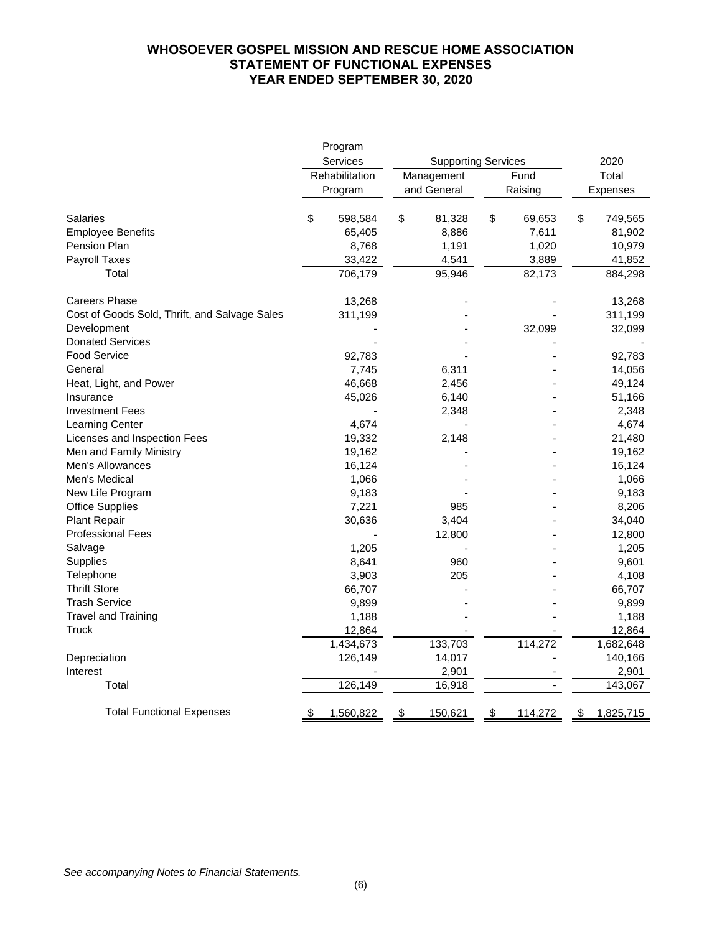## **WHOSOEVER GOSPEL MISSION AND RESCUE HOME ASSOCIATION STATEMENT OF FUNCTIONAL EXPENSES YEAR ENDED SEPTEMBER 30, 2020**

|                                               | Program        |           |                            |             |      |         |          |           |
|-----------------------------------------------|----------------|-----------|----------------------------|-------------|------|---------|----------|-----------|
|                                               | Services       |           | <b>Supporting Services</b> |             |      |         |          | 2020      |
|                                               | Rehabilitation |           | Management                 |             | Fund |         | Total    |           |
|                                               | Program        |           |                            | and General |      | Raising | Expenses |           |
| <b>Salaries</b>                               | \$             | 598,584   | \$                         | 81,328      | \$   | 69,653  | \$       | 749,565   |
| <b>Employee Benefits</b>                      |                | 65,405    |                            | 8,886       |      | 7,611   |          | 81,902    |
| Pension Plan                                  |                | 8,768     |                            | 1,191       |      | 1,020   |          | 10,979    |
| Payroll Taxes                                 |                | 33,422    |                            | 4,541       |      | 3,889   |          | 41,852    |
| Total                                         |                | 706,179   |                            | 95,946      |      | 82,173  |          | 884,298   |
| <b>Careers Phase</b>                          |                | 13,268    |                            |             |      |         |          | 13,268    |
| Cost of Goods Sold, Thrift, and Salvage Sales |                | 311,199   |                            |             |      |         |          | 311,199   |
| Development                                   |                |           |                            |             |      | 32,099  |          | 32,099    |
| <b>Donated Services</b>                       |                |           |                            |             |      |         |          |           |
| Food Service                                  |                | 92,783    |                            |             |      |         |          | 92,783    |
| General                                       |                | 7,745     |                            | 6,311       |      |         |          | 14,056    |
| Heat, Light, and Power                        |                | 46,668    |                            | 2,456       |      |         |          | 49,124    |
| Insurance                                     |                | 45,026    |                            | 6,140       |      |         |          | 51,166    |
| <b>Investment Fees</b>                        |                |           |                            | 2,348       |      |         |          | 2,348     |
| Learning Center                               |                | 4,674     |                            |             |      |         |          | 4,674     |
| Licenses and Inspection Fees                  |                | 19,332    |                            | 2,148       |      |         |          | 21,480    |
| Men and Family Ministry                       |                | 19,162    |                            |             |      |         |          | 19,162    |
| Men's Allowances                              |                | 16,124    |                            |             |      |         |          | 16,124    |
| Men's Medical                                 |                | 1,066     |                            |             |      |         |          | 1,066     |
| New Life Program                              |                | 9,183     |                            |             |      |         |          | 9,183     |
| <b>Office Supplies</b>                        |                | 7,221     |                            | 985         |      |         |          | 8,206     |
| <b>Plant Repair</b>                           |                | 30,636    |                            | 3,404       |      |         |          | 34,040    |
| <b>Professional Fees</b>                      |                |           |                            | 12,800      |      |         |          | 12,800    |
| Salvage                                       |                | 1,205     |                            |             |      |         |          | 1,205     |
| Supplies                                      |                | 8,641     |                            | 960         |      |         |          | 9,601     |
| Telephone                                     |                | 3,903     |                            | 205         |      |         |          | 4,108     |
| <b>Thrift Store</b>                           |                | 66,707    |                            |             |      |         |          | 66,707    |
| <b>Trash Service</b>                          |                | 9,899     |                            |             |      |         |          | 9,899     |
| <b>Travel and Training</b>                    |                | 1,188     |                            |             |      |         |          | 1,188     |
| Truck                                         |                | 12,864    |                            |             |      |         |          | 12,864    |
|                                               |                | 1,434,673 |                            | 133,703     |      | 114,272 |          | 1,682,648 |
| Depreciation                                  |                | 126,149   |                            | 14,017      |      |         |          | 140,166   |
| Interest                                      |                |           |                            | 2,901       |      |         |          | 2,901     |
| Total                                         |                | 126,149   |                            | 16,918      |      |         |          | 143,067   |
| <b>Total Functional Expenses</b>              | \$             | 1,560,822 | \$                         | 150,621     | \$   | 114,272 | \$       | 1,825,715 |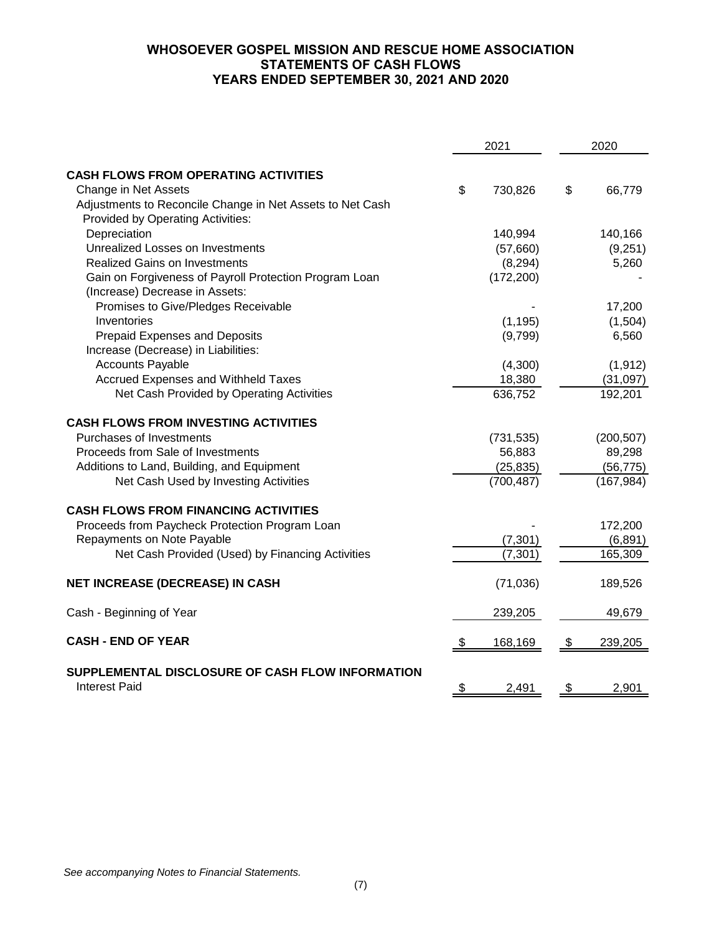# **WHOSOEVER GOSPEL MISSION AND RESCUE HOME ASSOCIATION STATEMENTS OF CASH FLOWS YEARS ENDED SEPTEMBER 30, 2021 AND 2020**

|                                                                          |      | 2021       | 2020          |
|--------------------------------------------------------------------------|------|------------|---------------|
|                                                                          |      |            |               |
| <b>CASH FLOWS FROM OPERATING ACTIVITIES</b>                              |      |            |               |
| Change in Net Assets                                                     | \$   | 730,826    | \$<br>66,779  |
| Adjustments to Reconcile Change in Net Assets to Net Cash                |      |            |               |
| Provided by Operating Activities:                                        |      |            |               |
| Depreciation                                                             |      | 140,994    | 140,166       |
| Unrealized Losses on Investments                                         |      | (57,660)   | (9,251)       |
| <b>Realized Gains on Investments</b>                                     |      | (8, 294)   | 5,260         |
| Gain on Forgiveness of Payroll Protection Program Loan                   |      | (172, 200) |               |
| (Increase) Decrease in Assets:                                           |      |            |               |
| Promises to Give/Pledges Receivable                                      |      |            | 17,200        |
| Inventories                                                              |      | (1, 195)   | (1,504)       |
| <b>Prepaid Expenses and Deposits</b>                                     |      | (9,799)    | 6,560         |
| Increase (Decrease) in Liabilities:                                      |      |            |               |
| <b>Accounts Payable</b>                                                  |      | (4,300)    | (1, 912)      |
| Accrued Expenses and Withheld Taxes                                      |      | 18,380     | (31,097)      |
| Net Cash Provided by Operating Activities                                |      | 636,752    | 192,201       |
| <b>CASH FLOWS FROM INVESTING ACTIVITIES</b>                              |      |            |               |
| Purchases of Investments                                                 |      | (731, 535) | (200, 507)    |
| Proceeds from Sale of Investments                                        |      | 56,883     | 89,298        |
| Additions to Land, Building, and Equipment                               |      | (25, 835)  | (56, 775)     |
| Net Cash Used by Investing Activities                                    |      | (700, 487) | (167, 984)    |
| <b>CASH FLOWS FROM FINANCING ACTIVITIES</b>                              |      |            |               |
| Proceeds from Paycheck Protection Program Loan                           |      |            | 172,200       |
| Repayments on Note Payable                                               |      | (7, 301)   | (6, 891)      |
| Net Cash Provided (Used) by Financing Activities                         |      | (7, 301)   | 165,309       |
| <b>NET INCREASE (DECREASE) IN CASH</b>                                   |      | (71, 036)  | 189,526       |
| Cash - Beginning of Year                                                 |      | 239,205    | 49,679        |
| <b>CASH - END OF YEAR</b>                                                | - \$ | 168,169    | \$<br>239,205 |
| SUPPLEMENTAL DISCLOSURE OF CASH FLOW INFORMATION<br><b>Interest Paid</b> | \$   | 2,491      | \$<br>2,901   |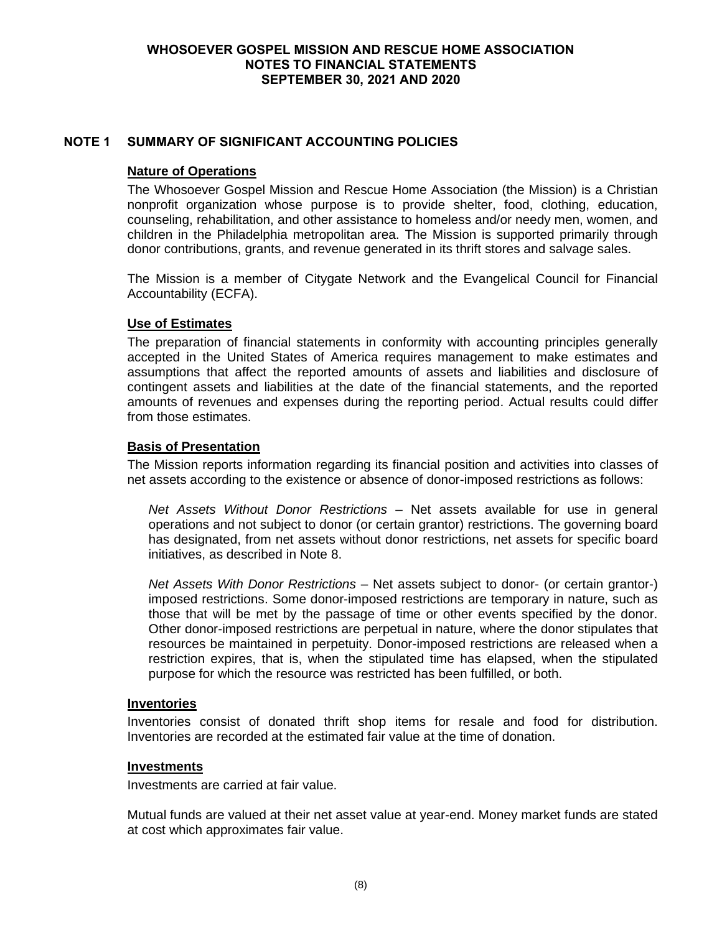# **NOTE 1 SUMMARY OF SIGNIFICANT ACCOUNTING POLICIES**

## **Nature of Operations**

The Whosoever Gospel Mission and Rescue Home Association (the Mission) is a Christian nonprofit organization whose purpose is to provide shelter, food, clothing, education, counseling, rehabilitation, and other assistance to homeless and/or needy men, women, and children in the Philadelphia metropolitan area. The Mission is supported primarily through donor contributions, grants, and revenue generated in its thrift stores and salvage sales.

The Mission is a member of Citygate Network and the Evangelical Council for Financial Accountability (ECFA).

## **Use of Estimates**

The preparation of financial statements in conformity with accounting principles generally accepted in the United States of America requires management to make estimates and assumptions that affect the reported amounts of assets and liabilities and disclosure of contingent assets and liabilities at the date of the financial statements, and the reported amounts of revenues and expenses during the reporting period. Actual results could differ from those estimates.

#### **Basis of Presentation**

The Mission reports information regarding its financial position and activities into classes of net assets according to the existence or absence of donor-imposed restrictions as follows:

*Net Assets Without Donor Restrictions* – Net assets available for use in general operations and not subject to donor (or certain grantor) restrictions. The governing board has designated, from net assets without donor restrictions, net assets for specific board initiatives, as described in Note 8.

*Net Assets With Donor Restrictions* – Net assets subject to donor- (or certain grantor-) imposed restrictions. Some donor-imposed restrictions are temporary in nature, such as those that will be met by the passage of time or other events specified by the donor. Other donor-imposed restrictions are perpetual in nature, where the donor stipulates that resources be maintained in perpetuity. Donor-imposed restrictions are released when a restriction expires, that is, when the stipulated time has elapsed, when the stipulated purpose for which the resource was restricted has been fulfilled, or both.

#### **Inventories**

Inventories consist of donated thrift shop items for resale and food for distribution. Inventories are recorded at the estimated fair value at the time of donation.

#### **Investments**

Investments are carried at fair value.

Mutual funds are valued at their net asset value at year-end. Money market funds are stated at cost which approximates fair value.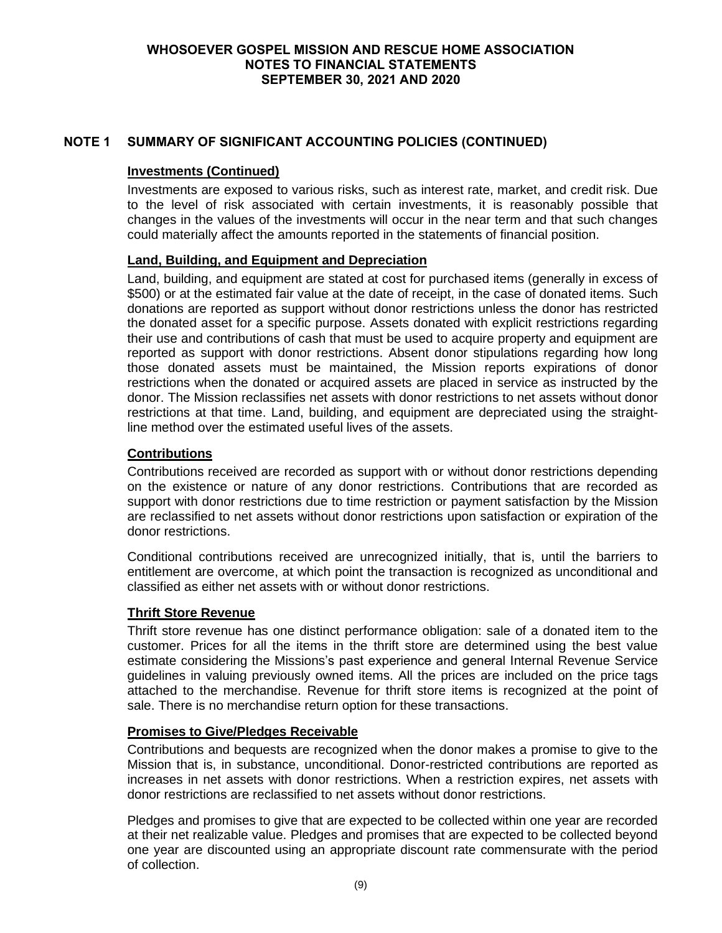# **NOTE 1 SUMMARY OF SIGNIFICANT ACCOUNTING POLICIES (CONTINUED)**

## **Investments (Continued)**

Investments are exposed to various risks, such as interest rate, market, and credit risk. Due to the level of risk associated with certain investments, it is reasonably possible that changes in the values of the investments will occur in the near term and that such changes could materially affect the amounts reported in the statements of financial position.

## **Land, Building, and Equipment and Depreciation**

Land, building, and equipment are stated at cost for purchased items (generally in excess of \$500) or at the estimated fair value at the date of receipt, in the case of donated items. Such donations are reported as support without donor restrictions unless the donor has restricted the donated asset for a specific purpose. Assets donated with explicit restrictions regarding their use and contributions of cash that must be used to acquire property and equipment are reported as support with donor restrictions. Absent donor stipulations regarding how long those donated assets must be maintained, the Mission reports expirations of donor restrictions when the donated or acquired assets are placed in service as instructed by the donor. The Mission reclassifies net assets with donor restrictions to net assets without donor restrictions at that time. Land, building, and equipment are depreciated using the straightline method over the estimated useful lives of the assets.

## **Contributions**

Contributions received are recorded as support with or without donor restrictions depending on the existence or nature of any donor restrictions. Contributions that are recorded as support with donor restrictions due to time restriction or payment satisfaction by the Mission are reclassified to net assets without donor restrictions upon satisfaction or expiration of the donor restrictions.

Conditional contributions received are unrecognized initially, that is, until the barriers to entitlement are overcome, at which point the transaction is recognized as unconditional and classified as either net assets with or without donor restrictions.

#### **Thrift Store Revenue**

Thrift store revenue has one distinct performance obligation: sale of a donated item to the customer. Prices for all the items in the thrift store are determined using the best value estimate considering the Missions's past experience and general Internal Revenue Service guidelines in valuing previously owned items. All the prices are included on the price tags attached to the merchandise. Revenue for thrift store items is recognized at the point of sale. There is no merchandise return option for these transactions.

#### **Promises to Give/Pledges Receivable**

Contributions and bequests are recognized when the donor makes a promise to give to the Mission that is, in substance, unconditional. Donor-restricted contributions are reported as increases in net assets with donor restrictions. When a restriction expires, net assets with donor restrictions are reclassified to net assets without donor restrictions.

Pledges and promises to give that are expected to be collected within one year are recorded at their net realizable value. Pledges and promises that are expected to be collected beyond one year are discounted using an appropriate discount rate commensurate with the period of collection.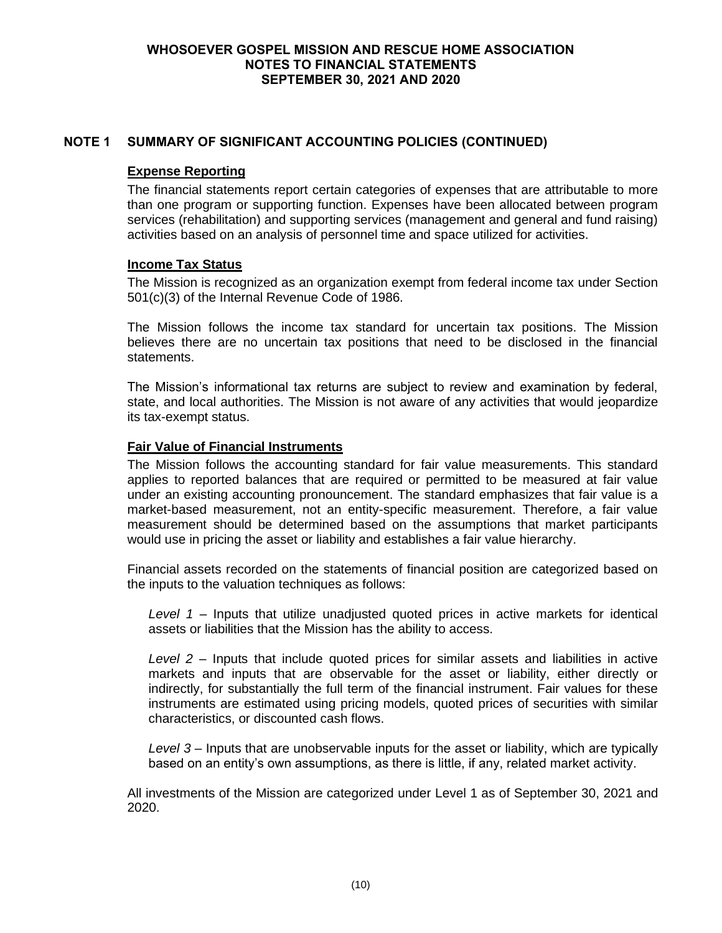# **NOTE 1 SUMMARY OF SIGNIFICANT ACCOUNTING POLICIES (CONTINUED)**

# **Expense Reporting**

The financial statements report certain categories of expenses that are attributable to more than one program or supporting function. Expenses have been allocated between program services (rehabilitation) and supporting services (management and general and fund raising) activities based on an analysis of personnel time and space utilized for activities.

## **Income Tax Status**

The Mission is recognized as an organization exempt from federal income tax under Section 501(c)(3) of the Internal Revenue Code of 1986.

The Mission follows the income tax standard for uncertain tax positions. The Mission believes there are no uncertain tax positions that need to be disclosed in the financial statements.

The Mission's informational tax returns are subject to review and examination by federal, state, and local authorities. The Mission is not aware of any activities that would jeopardize its tax-exempt status.

## **Fair Value of Financial Instruments**

The Mission follows the accounting standard for fair value measurements. This standard applies to reported balances that are required or permitted to be measured at fair value under an existing accounting pronouncement. The standard emphasizes that fair value is a market-based measurement, not an entity-specific measurement. Therefore, a fair value measurement should be determined based on the assumptions that market participants would use in pricing the asset or liability and establishes a fair value hierarchy.

Financial assets recorded on the statements of financial position are categorized based on the inputs to the valuation techniques as follows:

*Level 1* – Inputs that utilize unadjusted quoted prices in active markets for identical assets or liabilities that the Mission has the ability to access.

*Level 2* – Inputs that include quoted prices for similar assets and liabilities in active markets and inputs that are observable for the asset or liability, either directly or indirectly, for substantially the full term of the financial instrument. Fair values for these instruments are estimated using pricing models, quoted prices of securities with similar characteristics, or discounted cash flows.

*Level 3* – Inputs that are unobservable inputs for the asset or liability, which are typically based on an entity's own assumptions, as there is little, if any, related market activity.

All investments of the Mission are categorized under Level 1 as of September 30, 2021 and 2020.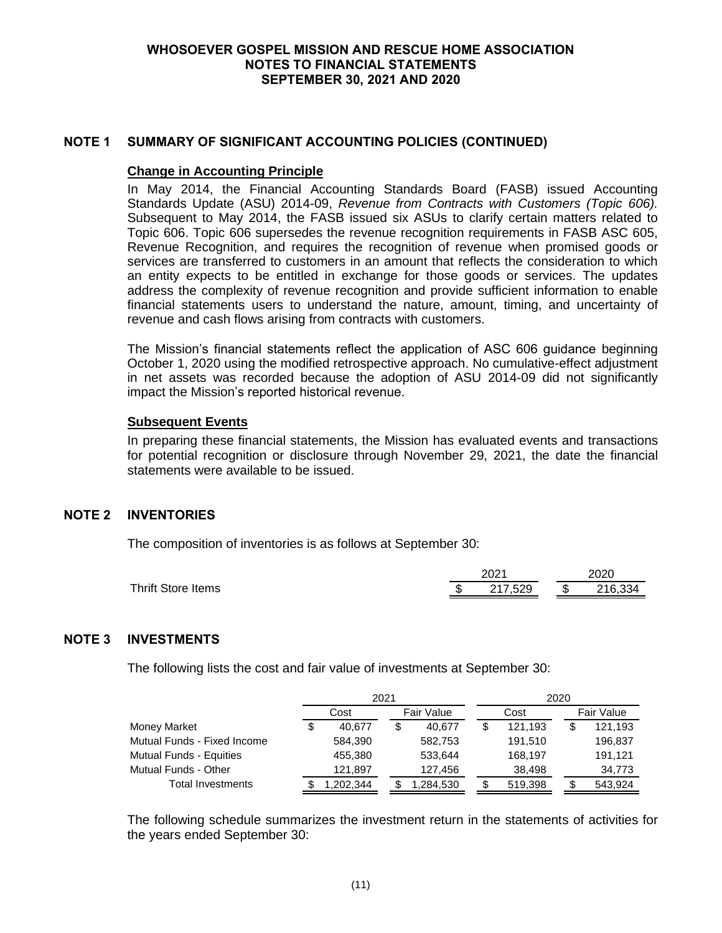## **NOTE 1 SUMMARY OF SIGNIFICANT ACCOUNTING POLICIES (CONTINUED)**

#### **Change in Accounting Principle**

In May 2014, the Financial Accounting Standards Board (FASB) issued Accounting Standards Update (ASU) 2014-09, *Revenue from Contracts with Customers (Topic 606).* Subsequent to May 2014, the FASB issued six ASUs to clarify certain matters related to Topic 606. Topic 606 supersedes the revenue recognition requirements in FASB ASC 605, Revenue Recognition, and requires the recognition of revenue when promised goods or services are transferred to customers in an amount that reflects the consideration to which an entity expects to be entitled in exchange for those goods or services. The updates address the complexity of revenue recognition and provide sufficient information to enable financial statements users to understand the nature, amount, timing, and uncertainty of revenue and cash flows arising from contracts with customers.

The Mission's financial statements reflect the application of ASC 606 guidance beginning October 1, 2020 using the modified retrospective approach. No cumulative-effect adjustment in net assets was recorded because the adoption of ASU 2014-09 did not significantly impact the Mission's reported historical revenue.

#### **Subsequent Events**

In preparing these financial statements, the Mission has evaluated events and transactions for potential recognition or disclosure through November 29, 2021, the date the financial statements were available to be issued.

#### **NOTE 2 INVENTORIES**

The composition of inventories is as follows at September 30:

|                           | 2021 |         |    | 2020                |
|---------------------------|------|---------|----|---------------------|
| <b>Thrift Store Items</b> |      | 217.529 | J. | <sup>2</sup> 16.334 |

#### **NOTE 3 INVESTMENTS**

The following lists the cost and fair value of investments at September 30:

|                                | 2021         |  |            |   |         | 2020 |            |  |
|--------------------------------|--------------|--|------------|---|---------|------|------------|--|
|                                | Cost         |  | Fair Value |   | Cost    |      | Fair Value |  |
| Money Market                   | \$<br>40.677 |  | 40.677     | S | 121,193 | \$   | 121,193    |  |
| Mutual Funds - Fixed Income    | 584,390      |  | 582,753    |   | 191,510 |      | 196,837    |  |
| <b>Mutual Funds - Equities</b> | 455,380      |  | 533,644    |   | 168,197 |      | 191,121    |  |
| Mutual Funds - Other           | 121,897      |  | 127,456    |   | 38.498  |      | 34,773     |  |
| Total Investments              | 1.202.344    |  | .284.530   |   | 519,398 |      | 543,924    |  |

The following schedule summarizes the investment return in the statements of activities for the years ended September 30: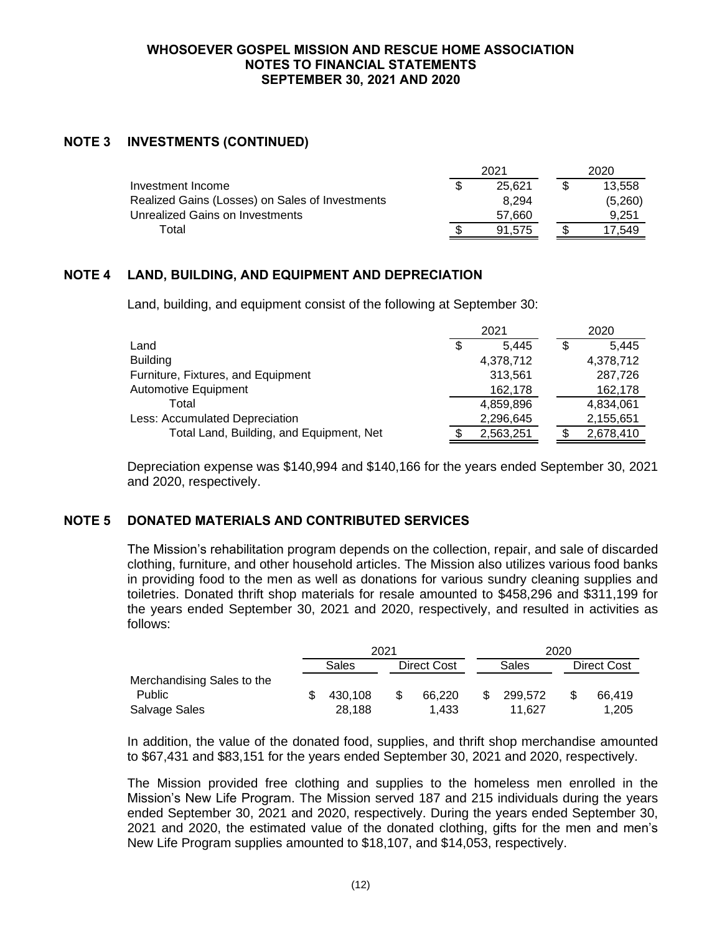# **NOTE 3 INVESTMENTS (CONTINUED)**

|                                                 | 2021   | 2020    |  |  |
|-------------------------------------------------|--------|---------|--|--|
| Investment Income                               | 25.621 | 13.558  |  |  |
| Realized Gains (Losses) on Sales of Investments | 8.294  | (5,260) |  |  |
| Unrealized Gains on Investments                 | 57.660 | 9.251   |  |  |
| Total                                           | 91.575 | 17.549  |  |  |

# **NOTE 4 LAND, BUILDING, AND EQUIPMENT AND DEPRECIATION**

Land, building, and equipment consist of the following at September 30:

|                                          | 2021      | 2020      |
|------------------------------------------|-----------|-----------|
| Land                                     | 5.445     | 5.445     |
| <b>Building</b>                          | 4,378,712 | 4,378,712 |
| Furniture, Fixtures, and Equipment       | 313,561   | 287,726   |
| <b>Automotive Equipment</b>              | 162.178   | 162,178   |
| Total                                    | 4,859,896 | 4,834,061 |
| Less: Accumulated Depreciation           | 2,296,645 | 2,155,651 |
| Total Land, Building, and Equipment, Net | 2,563,251 | 2,678,410 |

Depreciation expense was \$140,994 and \$140,166 for the years ended September 30, 2021 and 2020, respectively.

# **NOTE 5 DONATED MATERIALS AND CONTRIBUTED SERVICES**

The Mission's rehabilitation program depends on the collection, repair, and sale of discarded clothing, furniture, and other household articles. The Mission also utilizes various food banks in providing food to the men as well as donations for various sundry cleaning supplies and toiletries. Donated thrift shop materials for resale amounted to \$458,296 and \$311,199 for the years ended September 30, 2021 and 2020, respectively, and resulted in activities as follows:

|                            | 2021    |  |                    |     | 2020    |  |                    |  |
|----------------------------|---------|--|--------------------|-----|---------|--|--------------------|--|
|                            | Sales   |  | <b>Direct Cost</b> |     | Sales   |  | <b>Direct Cost</b> |  |
| Merchandising Sales to the |         |  |                    |     |         |  |                    |  |
| <b>Public</b>              | 430.108 |  | 66.220             | \$. | 299.572 |  | 66.419             |  |
| Salvage Sales              | 28,188  |  | 1.433              |     | 11.627  |  | 1,205              |  |

In addition, the value of the donated food, supplies, and thrift shop merchandise amounted to \$67,431 and \$83,151 for the years ended September 30, 2021 and 2020, respectively.

The Mission provided free clothing and supplies to the homeless men enrolled in the Mission's New Life Program. The Mission served 187 and 215 individuals during the years ended September 30, 2021 and 2020, respectively. During the years ended September 30, 2021 and 2020, the estimated value of the donated clothing, gifts for the men and men's New Life Program supplies amounted to \$18,107, and \$14,053, respectively.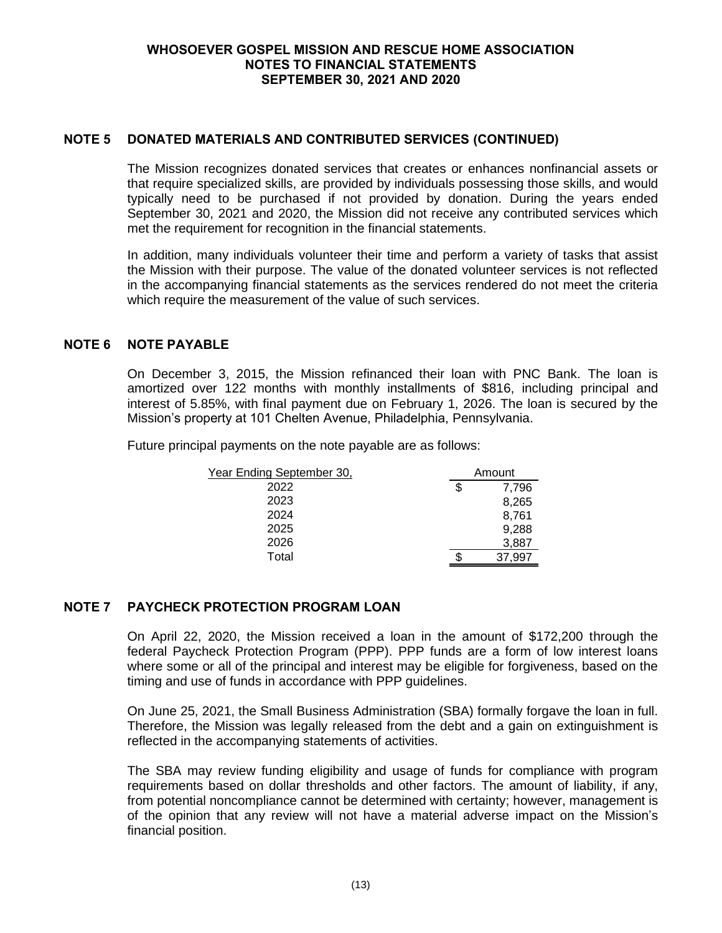# **NOTE 5 DONATED MATERIALS AND CONTRIBUTED SERVICES (CONTINUED)**

The Mission recognizes donated services that creates or enhances nonfinancial assets or that require specialized skills, are provided by individuals possessing those skills, and would typically need to be purchased if not provided by donation. During the years ended September 30, 2021 and 2020, the Mission did not receive any contributed services which met the requirement for recognition in the financial statements.

In addition, many individuals volunteer their time and perform a variety of tasks that assist the Mission with their purpose. The value of the donated volunteer services is not reflected in the accompanying financial statements as the services rendered do not meet the criteria which require the measurement of the value of such services.

# **NOTE 6 NOTE PAYABLE**

On December 3, 2015, the Mission refinanced their loan with PNC Bank. The loan is amortized over 122 months with monthly installments of \$816, including principal and interest of 5.85%, with final payment due on February 1, 2026. The loan is secured by the Mission's property at 101 Chelten Avenue, Philadelphia, Pennsylvania.

Future principal payments on the note payable are as follows:

| Year Ending September 30, | Amount      |
|---------------------------|-------------|
| 2022                      | \$<br>7,796 |
| 2023                      | 8,265       |
| 2024                      | 8,761       |
| 2025                      | 9,288       |
| 2026                      | 3,887       |
| Total                     | 37.997      |

# **NOTE 7 PAYCHECK PROTECTION PROGRAM LOAN**

On April 22, 2020, the Mission received a loan in the amount of \$172,200 through the federal Paycheck Protection Program (PPP). PPP funds are a form of low interest loans where some or all of the principal and interest may be eligible for forgiveness, based on the timing and use of funds in accordance with PPP guidelines.

On June 25, 2021, the Small Business Administration (SBA) formally forgave the loan in full. Therefore, the Mission was legally released from the debt and a gain on extinguishment is reflected in the accompanying statements of activities.

The SBA may review funding eligibility and usage of funds for compliance with program requirements based on dollar thresholds and other factors. The amount of liability, if any, from potential noncompliance cannot be determined with certainty; however, management is of the opinion that any review will not have a material adverse impact on the Mission's financial position.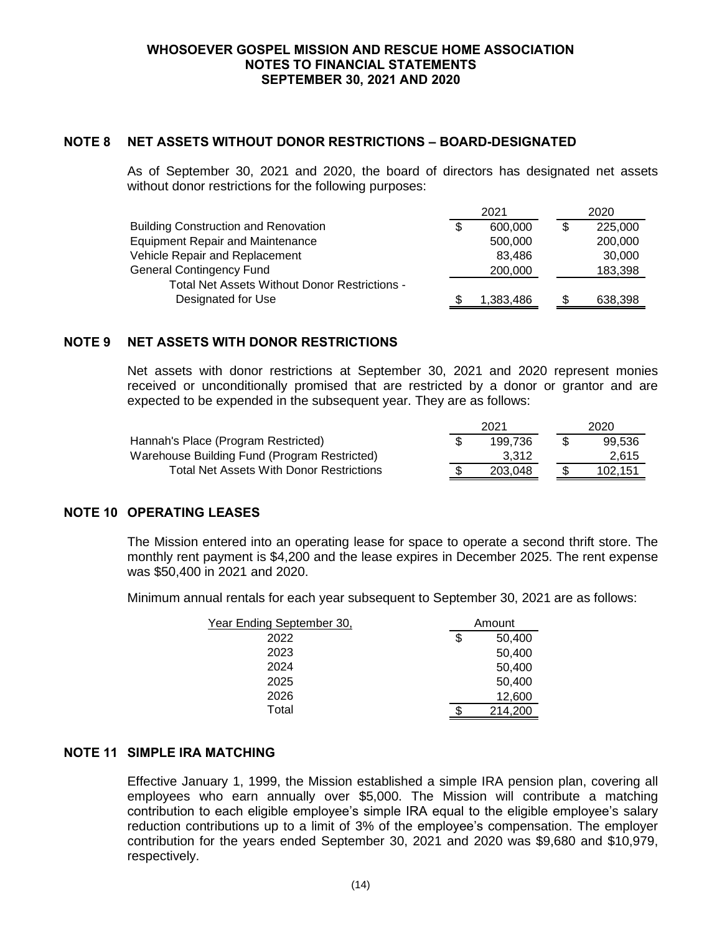## **NOTE 8 NET ASSETS WITHOUT DONOR RESTRICTIONS – BOARD-DESIGNATED**

As of September 30, 2021 and 2020, the board of directors has designated net assets without donor restrictions for the following purposes:

|                                                      | 2021      | 2020    |  |  |
|------------------------------------------------------|-----------|---------|--|--|
| <b>Building Construction and Renovation</b>          | 600,000   | 225,000 |  |  |
| <b>Equipment Repair and Maintenance</b>              | 500,000   | 200,000 |  |  |
| Vehicle Repair and Replacement                       | 83.486    | 30,000  |  |  |
| <b>General Contingency Fund</b>                      | 200,000   | 183,398 |  |  |
| <b>Total Net Assets Without Donor Restrictions -</b> |           |         |  |  |
| Designated for Use                                   | 1,383,486 | 638,398 |  |  |

## **NOTE 9 NET ASSETS WITH DONOR RESTRICTIONS**

Net assets with donor restrictions at September 30, 2021 and 2020 represent monies received or unconditionally promised that are restricted by a donor or grantor and are expected to be expended in the subsequent year. They are as follows:

|                                              | 2021    | 2020    |  |  |
|----------------------------------------------|---------|---------|--|--|
| Hannah's Place (Program Restricted)          | 199.736 | 99.536  |  |  |
| Warehouse Building Fund (Program Restricted) | 3.312   | 2.615   |  |  |
| Total Net Assets With Donor Restrictions     | 203.048 | 102.151 |  |  |

# **NOTE 10 OPERATING LEASES**

The Mission entered into an operating lease for space to operate a second thrift store. The monthly rent payment is \$4,200 and the lease expires in December 2025. The rent expense was \$50,400 in 2021 and 2020.

Minimum annual rentals for each year subsequent to September 30, 2021 are as follows:

| Year Ending September 30, | Amount       |  |  |
|---------------------------|--------------|--|--|
| 2022                      | \$<br>50,400 |  |  |
| 2023                      | 50,400       |  |  |
| 2024                      | 50,400       |  |  |
| 2025                      | 50,400       |  |  |
| 2026                      | 12,600       |  |  |
| Total                     | 214.200      |  |  |

# **NOTE 11 SIMPLE IRA MATCHING**

Effective January 1, 1999, the Mission established a simple IRA pension plan, covering all employees who earn annually over \$5,000. The Mission will contribute a matching contribution to each eligible employee's simple IRA equal to the eligible employee's salary reduction contributions up to a limit of 3% of the employee's compensation. The employer contribution for the years ended September 30, 2021 and 2020 was \$9,680 and \$10,979, respectively.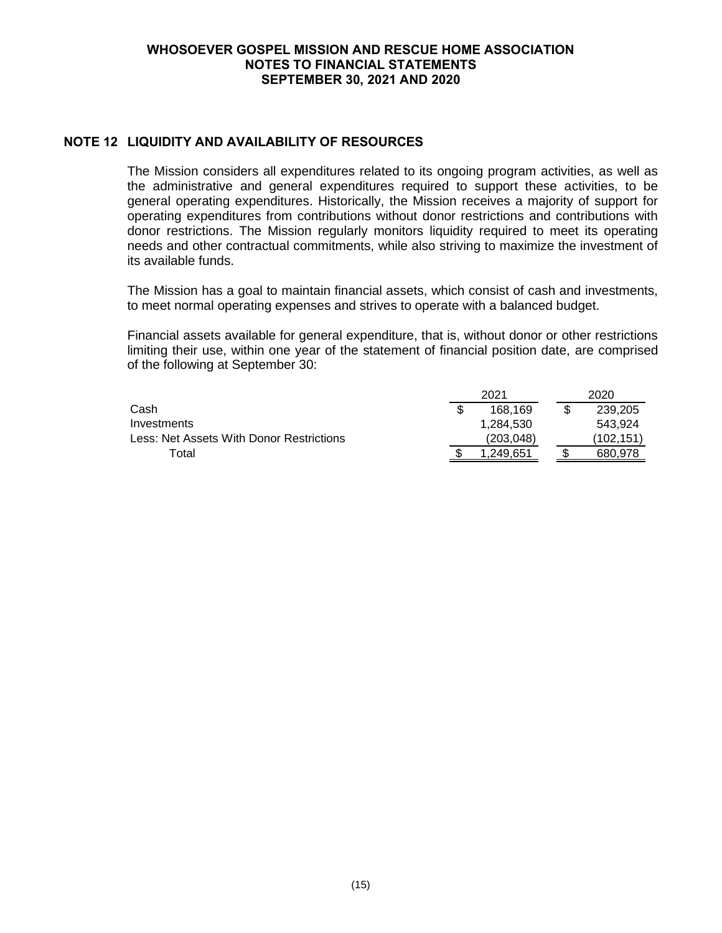# **NOTE 12 LIQUIDITY AND AVAILABILITY OF RESOURCES**

The Mission considers all expenditures related to its ongoing program activities, as well as the administrative and general expenditures required to support these activities, to be general operating expenditures. Historically, the Mission receives a majority of support for operating expenditures from contributions without donor restrictions and contributions with donor restrictions. The Mission regularly monitors liquidity required to meet its operating needs and other contractual commitments, while also striving to maximize the investment of its available funds.

The Mission has a goal to maintain financial assets, which consist of cash and investments, to meet normal operating expenses and strives to operate with a balanced budget.

Financial assets available for general expenditure, that is, without donor or other restrictions limiting their use, within one year of the statement of financial position date, are comprised of the following at September 30:

|                                          | 2021 |            |  | 2020      |  |  |
|------------------------------------------|------|------------|--|-----------|--|--|
| Cash                                     |      | 168.169    |  | 239,205   |  |  |
| Investments                              |      | 1.284.530  |  | 543.924   |  |  |
| Less: Net Assets With Donor Restrictions |      | (203, 048) |  | (102.151) |  |  |
| Total                                    |      | 249,651    |  | 680,978   |  |  |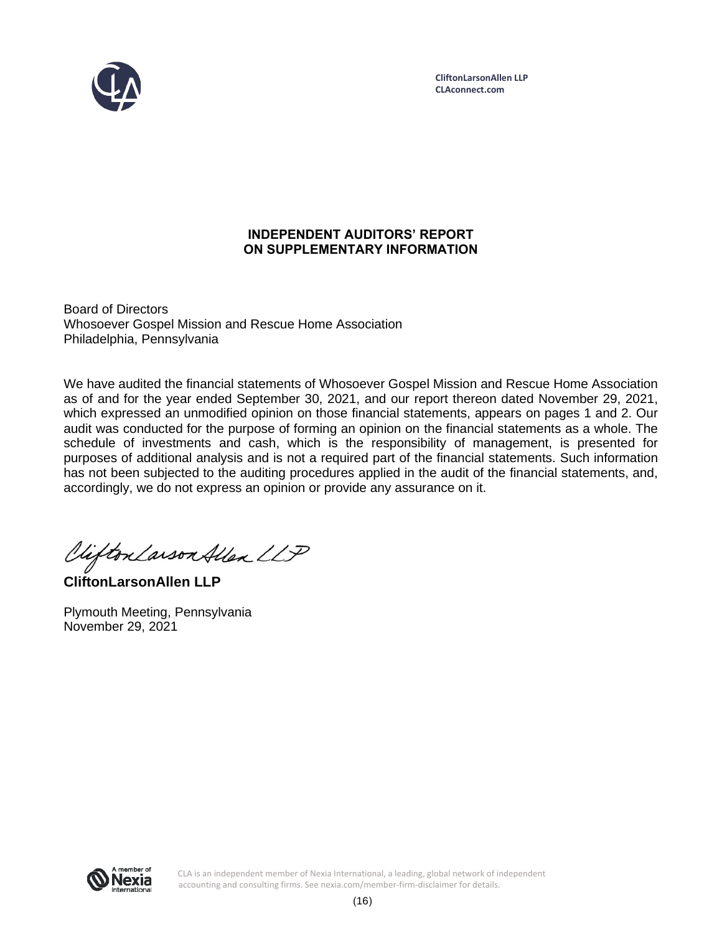

**CliftonLarsonAllen LLP CLAconnect.com**

# **INDEPENDENT AUDITORS' REPORT ON SUPPLEMENTARY INFORMATION**

Board of Directors Whosoever Gospel Mission and Rescue Home Association Philadelphia, Pennsylvania

We have audited the financial statements of Whosoever Gospel Mission and Rescue Home Association as of and for the year ended September 30, 2021, and our report thereon dated November 29, 2021, which expressed an unmodified opinion on those financial statements, appears on pages 1 and 2. Our audit was conducted for the purpose of forming an opinion on the financial statements as a whole. The schedule of investments and cash, which is the responsibility of management, is presented for purposes of additional analysis and is not a required part of the financial statements. Such information has not been subjected to the auditing procedures applied in the audit of the financial statements, and, accordingly, we do not express an opinion or provide any assurance on it.

Clifton Larson Allen LLP

**CliftonLarsonAllen LLP**

Plymouth Meeting, Pennsylvania November 29, 2021



CLA is an independent member of Nexia International, a leading, global network of independent accounting and consulting firms. See nexia.com/member‐firm‐disclaimer for details.